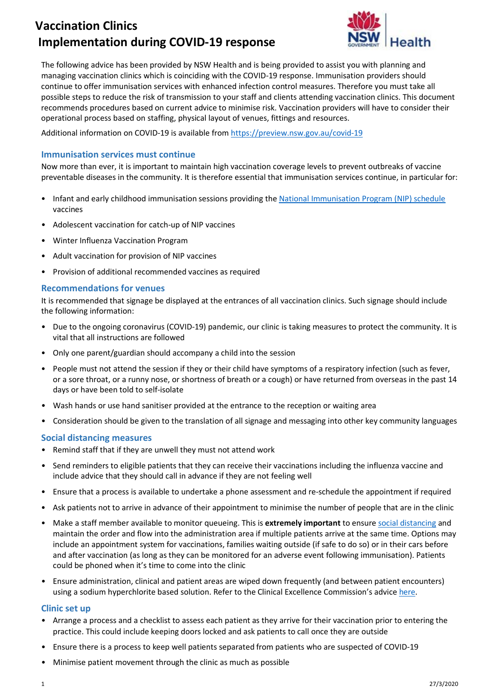# **Vaccination Clinics Implementation during COVID-19 response**



The following advice has been provided by NSW Health and is being provided to assist you with planning and managing vaccination clinics which is coinciding with the COVID-19 response. Immunisation providers should continue to offer immunisation services with enhanced infection control measures. Therefore you must take all possible steps to reduce the risk of transmission to your staff and clients attending vaccination clinics. This document recommends procedures based on current advice to minimise risk. Vaccination providers will have to consider their operational process based on staffing, physical layout of venues, fittings and resources.

Additional information on COVID-19 is available from <https://preview.nsw.gov.au/covid-19>

## **Immunisation services must continue**

Now more than ever, it is important to maintain high vaccination coverage levels to prevent outbreaks of vaccine preventable diseases in the community. It is therefore essential that immunisation services continue, in particular for:

- Infant and early childhood immunisation sessions providing th[e National Immunisation Program \(NIP\) schedule](https://www.health.nsw.gov.au/immunisation/Publications/nsw-immunisation-schedule.pdf) vaccines
- Adolescent vaccination for catch-up of NIP vaccines
- Winter Influenza Vaccination Program
- Adult vaccination for provision of NIP vaccines
- Provision of additional recommended vaccines as required

### **Recommendations for venues**

It is recommended that signage be displayed at the entrances of all vaccination clinics. Such signage should include the following information:

- Due to the ongoing coronavirus (COVID-19) pandemic, our clinic is taking measures to protect the community. It is vital that all instructions are followed
- Only one parent/guardian should accompany a child into the session
- People must not attend the session if they or their child have symptoms of a respiratory infection (such as fever, or a sore throat, or a runny nose, or shortness of breath or a cough) or have returned from overseas in the past 14 days or have been told to self-isolate
- Wash hands or use hand sanitiser provided at the entrance to the reception or waiting area
- Consideration should be given to the translation of all signage and messaging into other key community languages

### **Social distancing measures**

- Remind staff that if they are unwell they must not attend work
- Send reminders to eligible patients that they can receive their vaccinations including the influenza vaccine and include advice that they should call in advance if they are not feeling well
- Ensure that a process is available to undertake a phone assessment and re-schedule the appointment if required
- Ask patients not to arrive in advance of their appointment to minimise the number of people that are in the clinic
- Make a staff member available to monitor queueing. This is **extremely important** to ensure [social distancing](https://preview.nsw.gov.au/covid-19/social-distancing) and maintain the order and flow into the administration area if multiple patients arrive at the same time. Options may include an appointment system for vaccinations, families waiting outside (if safe to do so) or in their cars before and after vaccination (as long as they can be monitored for an adverse event following immunisation). Patients could be phoned when it's time to come into the clinic
- Ensure administration, clinical and patient areas are wiped down frequently (and between patient encounters) using a sodium hyperchlorite based solution. Refer to the Clinical Excellence Commission's advice [here.](http://cec.health.nsw.gov.au/__data/assets/pdf_file/0011/574409/COVID-19-Interim-Guidance-on-Cleaning-and-Disinfection-in-Public-settings.pdf)

### **Clinic set up**

- Arrange a process and a checklist to assess each patient as they arrive for their vaccination prior to entering the practice. This could include keeping doors locked and ask patients to call once they are outside
- Ensure there is a process to keep well patients separated from patients who are suspected of COVID-19
- Minimise patient movement through the clinic as much as possible